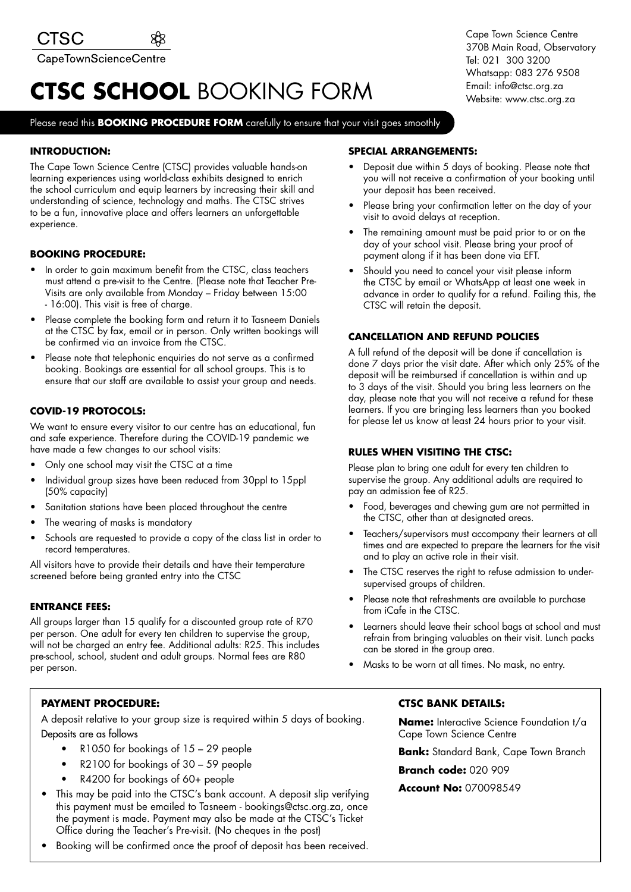## **CTSC SCHOOL** BOOKING FORM

#### Please read this **BOOKING PROCEDURE FORM** carefully to ensure that your visit goes smoothly

#### **INTRODUCTION:**

The Cape Town Science Centre (CTSC) provides valuable hands-on learning experiences using world-class exhibits designed to enrich the school curriculum and equip learners by increasing their skill and understanding of science, technology and maths. The CTSC strives to be a fun, innovative place and offers learners an unforgettable experience.

#### **BOOKING PROCEDURE:**

- In order to gain maximum benefit from the CTSC, class teachers must attend a pre-visit to the Centre. (Please note that Teacher Pre-Visits are only available from Monday – Friday between 15:00 - 16:00). This visit is free of charge.
- Please complete the booking form and return it to Tasneem Daniels at the CTSC by fax, email or in person. Only written bookings will be confirmed via an invoice from the CTSC.
- Please note that telephonic enquiries do not serve as a confirmed booking. Bookings are essential for all school groups. This is to ensure that our staff are available to assist your group and needs.

#### **COVID-19 PROTOCOLS:**

We want to ensure every visitor to our centre has an educational, fun and safe experience. Therefore during the COVID-19 pandemic we have made a few changes to our school visits:

- Only one school may visit the CTSC at a time
- Individual group sizes have been reduced from 30ppl to 15ppl (50% capacity)
- Sanitation stations have been placed throughout the centre
- The wearing of masks is mandatory
- Schools are requested to provide a copy of the class list in order to record temperatures.

All visitors have to provide their details and have their temperature screened before being granted entry into the CTSC

#### **ENTRANCE FEES:**

All groups larger than 15 qualify for a discounted group rate of R70 per person. One adult for every ten children to supervise the group, will not be charged an entry fee. Additional adults: R25. This includes pre-school, school, student and adult groups. Normal fees are R80 per person.

#### **PAYMENT PROCEDURE:**

A deposit relative to your group size is required within 5 days of booking. Deposits are as follows

- R1050 for bookings of 15 29 people
- R2100 for bookings of 30 59 people
- R4200 for bookings of 60+ people
- This may be paid into the CTSC's bank account. A deposit slip verifying this payment must be emailed to Tasneem - bookings@ctsc.org.za, once the payment is made. Payment may also be made at the CTSC's Ticket Office during the Teacher's Pre-visit. (No cheques in the post)
- Booking will be confirmed once the proof of deposit has been received.

#### **SPECIAL ARRANGEMENTS:**

- Deposit due within 5 days of booking. Please note that you will not receive a confirmation of your booking until your deposit has been received.
- Please bring your confirmation letter on the day of your visit to avoid delays at reception.
- The remaining amount must be paid prior to or on the day of your school visit. Please bring your proof of payment along if it has been done via EFT.
- Should you need to cancel your visit please inform the CTSC by email or WhatsApp at least one week in advance in order to qualify for a refund. Failing this, the CTSC will retain the deposit.

#### **CANCELLATION AND REFUND POLICIES**

A full refund of the deposit will be done if cancellation is done 7 days prior the visit date. After which only 25% of the deposit will be reimbursed if cancellation is within and up to 3 days of the visit. Should you bring less learners on the day, please note that you will not receive a refund for these learners. If you are bringing less learners than you booked for please let us know at least 24 hours prior to your visit.

#### **RULES WHEN VISITING THE CTSC:**

Please plan to bring one adult for every ten children to supervise the group. Any additional adults are required to pay an admission fee of R25.

- Food, beverages and chewing gum are not permitted in the CTSC, other than at designated areas.
- Teachers/supervisors must accompany their learners at all times and are expected to prepare the learners for the visit and to play an active role in their visit.
- The CTSC reserves the right to refuse admission to undersupervised groups of children.
- Please note that refreshments are available to purchase from iCafe in the CTSC.
- Learners should leave their school bags at school and must refrain from bringing valuables on their visit. Lunch packs can be stored in the group area.
- Masks to be worn at all times. No mask, no entry.

#### **CTSC BANK DETAILS:**

**Name:** Interactive Science Foundation t/a Cape Town Science Centre

**Bank:** Standard Bank, Cape Town Branch

**Branch code:** 020 909

#### **Account No:** 070098549

Cape Town Science Centre 370B Main Road, Observatory Tel: 021 300 3200 Whatsapp: 083 276 9508 Email: info@ctsc.org.za Website: www.ctsc.org.za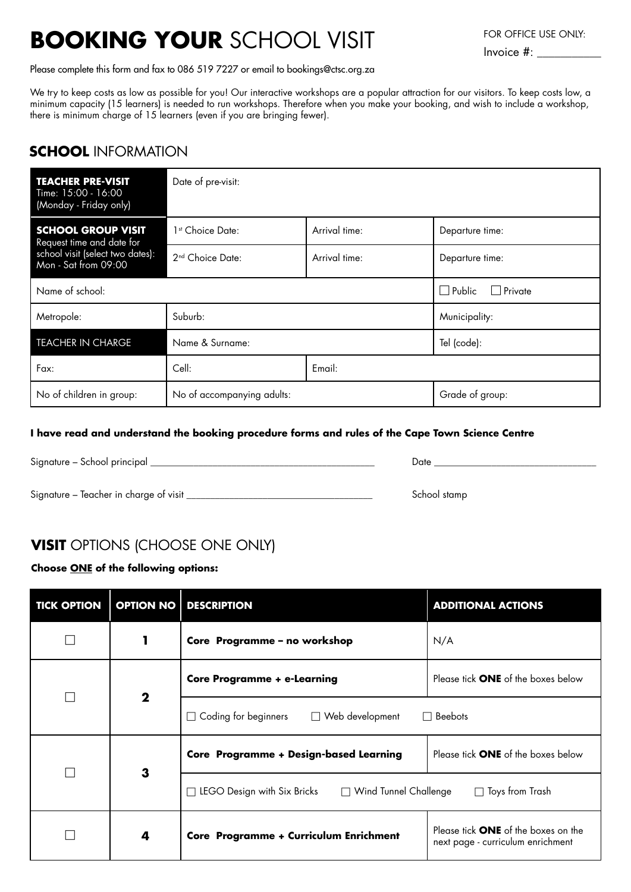# **BOOKING YOUR** SCHOOL VISIT FOR OFFICE USE ONLY:

Please complete this form and fax to 086 519 7227 or email to bookings@ctsc.org.za

We try to keep costs as low as possible for you! Our interactive workshops are a popular attraction for our visitors. To keep costs low, a minimum capacity (15 learners) is needed to run workshops. Therefore when you make your booking, and wish to include a workshop, there is minimum charge of 15 learners (even if you are bringing fewer).

### **SCHOOL** INFORMATION

| <b>TEACHER PRE-VISIT</b><br>Time: 15:00 - 16:00<br>(Monday - Friday only)                                          | Date of pre-visit:           |               |                                 |  |  |
|--------------------------------------------------------------------------------------------------------------------|------------------------------|---------------|---------------------------------|--|--|
| <b>SCHOOL GROUP VISIT</b><br>Request time and date for<br>school visit (select two dates):<br>Mon - Sat from 09:00 | 1 <sup>st</sup> Choice Date: | Arrival time: | Departure time:                 |  |  |
|                                                                                                                    | 2 <sup>nd</sup> Choice Date: | Arrival time: | Departure time:                 |  |  |
| Name of school:                                                                                                    |                              |               | $\Box$ Public<br>$\Box$ Private |  |  |
| Metropole:                                                                                                         | Suburb:                      |               | Municipality:                   |  |  |
| <b>TEACHER IN CHARGE</b>                                                                                           | Name & Surname:              |               | Tel (code):                     |  |  |
| Fax:                                                                                                               | Cell:                        | Email:        |                                 |  |  |
| No of children in group:                                                                                           | No of accompanying adults:   |               | Grade of group:                 |  |  |

#### **I have read and understand the booking procedure forms and rules of the Cape Town Science Centre**

Signature – School principal \_\_\_\_\_\_\_\_\_\_\_\_\_\_\_\_\_\_\_\_\_\_\_\_\_\_\_\_\_\_\_\_\_\_\_\_\_\_\_\_\_\_\_\_\_\_\_ Date \_\_\_\_\_\_\_\_\_\_\_\_\_\_\_\_\_\_\_\_\_\_\_\_\_\_\_\_\_\_\_\_\_\_ Signature – Teacher in charge of visit \_\_\_\_\_\_\_\_\_\_\_\_\_\_\_\_\_\_\_\_\_\_\_\_\_\_\_\_\_\_\_\_\_\_\_\_\_\_\_ School stamp

## **VISIT** OPTIONS (CHOOSE ONE ONLY)

#### **Choose ONE of the following options:**

| <b>TICK OPTION</b> |             | <b>OPTION NO   DESCRIPTION</b>                                                             | <b>ADDITIONAL ACTIONS</b>                                                       |  |
|--------------------|-------------|--------------------------------------------------------------------------------------------|---------------------------------------------------------------------------------|--|
|                    |             | Core Programme - no workshop                                                               | N/A                                                                             |  |
|                    | $\mathbf 2$ | <b>Core Programme + e-Learning</b>                                                         | Please tick <b>ONE</b> of the boxes below                                       |  |
|                    |             | Coding for beginners<br>$\Box$ Web development<br>$\Box$ Beebots<br>$\Box$                 |                                                                                 |  |
|                    | 3           | Core Programme + Design-based Learning                                                     | Please tick <b>ONE</b> of the boxes below                                       |  |
|                    |             | LEGO Design with Six Bricks<br>$\Box$ Wind Tunnel Challenge<br>$\Box$ Toys from Trash<br>┓ |                                                                                 |  |
|                    | 4           | Core Programme + Curriculum Enrichment                                                     | Please tick <b>ONE</b> of the boxes on the<br>next page - curriculum enrichment |  |